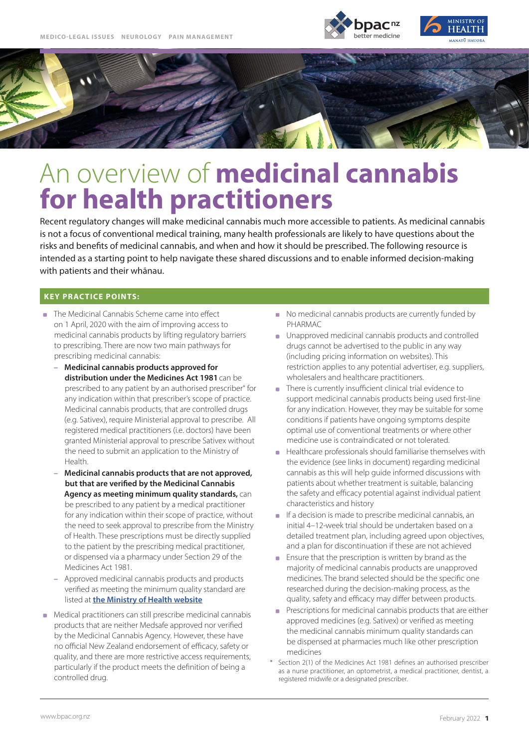



# An overview of **medicinal cannabis for health practitioners**

Recent regulatory changes will make medicinal cannabis much more accessible to patients. As medicinal cannabis is not a focus of conventional medical training, many health professionals are likely to have questions about the risks and benefits of medicinal cannabis, and when and how it should be prescribed. The following resource is intended as a starting point to help navigate these shared discussions and to enable informed decision-making with patients and their whānau.

## **KEY PRACTICE POINTS:**

- The Medicinal Cannabis Scheme came into effect on 1 April, 2020 with the aim of improving access to medicinal cannabis products by lifting regulatory barriers to prescribing. There are now two main pathways for prescribing medicinal cannabis:
	- **Medicinal cannabis products approved for distribution under the Medicines Act 1981**can be prescribed to any patient by an authorised prescriber\* for any indication within that prescriber's scope of practice. Medicinal cannabis products, that are controlled drugs (e.g. Sativex), require Ministerial approval to prescribe. All registered medical practitioners (i.e. doctors) have been granted Ministerial approval to prescribe Sativex without the need to submit an application to the Ministry of Health.
	- **Medicinal cannabis products that are not approved, but that are verified by the Medicinal Cannabis Agency as meeting minimum quality standards,** can be prescribed to any patient by a medical practitioner for any indication within their scope of practice, without the need to seek approval to prescribe from the Ministry of Health. These prescriptions must be directly supplied to the patient by the prescribing medical practitioner, or dispensed via a pharmacy under Section 29 of the Medicines Act 1981.
	- Approved medicinal cannabis products and products verified as meeting the minimum quality standard are listed at **[the Ministry of Health website](https://www.health.govt.nz/our-work/regulation-health-and-disability-system/medicinal-cannabis-agency/medicinal-cannabis-agency-information-health-professionals/medicinal-cannabis-products-meet-minimum-quality-standard)**
- **Medical practitioners can still prescribe medicinal cannabis** products that are neither Medsafe approved nor verified by the Medicinal Cannabis Agency. However, these have no official New Zealand endorsement of efficacy, safety or quality, and there are more restrictive access requirements, particularly if the product meets the definition of being a controlled drug.
- No medicinal cannabis products are currently funded by PHARMAC
- **I** Unapproved medicinal cannabis products and controlled drugs cannot be advertised to the public in any way (including pricing information on websites). This restriction applies to any potential advertiser, e.g. suppliers, wholesalers and healthcare practitioners.
- There is currently insufficient clinical trial evidence to support medicinal cannabis products being used first-line for any indication. However, they may be suitable for some conditions if patients have ongoing symptoms despite optimal use of conventional treatments or where other medicine use is contraindicated or not tolerated.
- **Healthcare professionals should familiarise themselves with** the evidence (see links in document) regarding medicinal cannabis as this will help guide informed discussions with patients about whether treatment is suitable, balancing the safety and efficacy potential against individual patient characteristics and history
- $\blacksquare$  If a decision is made to prescribe medicinal cannabis, an initial 4–12-week trial should be undertaken based on a detailed treatment plan, including agreed upon objectives, and a plan for discontinuation if these are not achieved
- $\mathcal{L}_{\mathrm{c}}$ Ensure that the prescription is written by brand as the majority of medicinal cannabis products are unapproved medicines. The brand selected should be the specific one researched during the decision-making process, as the quality, safety and efficacy may differ between products.
- Prescriptions for medicinal cannabis products that are either approved medicines (e.g. Sativex) or verified as meeting the medicinal cannabis minimum quality standards can be dispensed at pharmacies much like other prescription medicines
- Section 2(1) of the Medicines Act 1981 defines an authorised prescriber as a nurse practitioner, an optometrist, a medical practitioner, dentist, a registered midwife or a designated prescriber.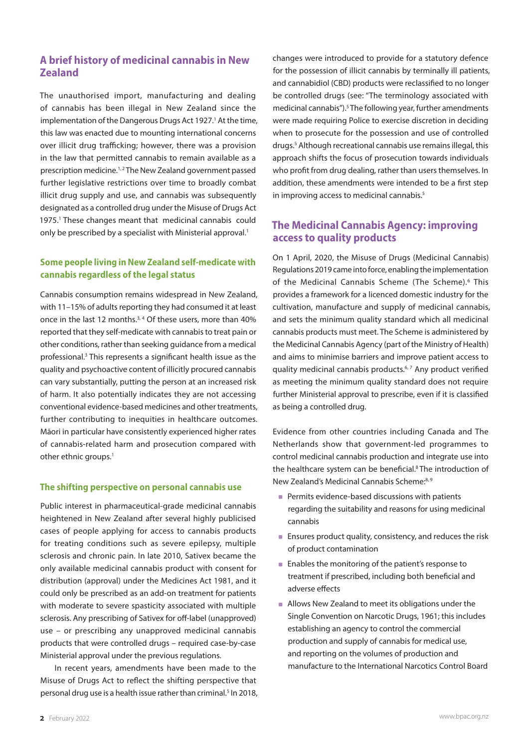# **A brief history of medicinal cannabis in New Zealand**

The unauthorised import, manufacturing and dealing of cannabis has been illegal in New Zealand since the implementation of the Dangerous Drugs Act 1927.<sup>1</sup> At the time, this law was enacted due to mounting international concerns over illicit drug trafficking; however, there was a provision in the law that permitted cannabis to remain available as a prescription medicine.<sup>1,2</sup> The New Zealand government passed further legislative restrictions over time to broadly combat illicit drug supply and use, and cannabis was subsequently designated as a controlled drug under the Misuse of Drugs Act 1975.<sup>1</sup> These changes meant that medicinal cannabis could only be prescribed by a specialist with Ministerial approval.<sup>1</sup>

## **Some people living in New Zealand self-medicate with cannabis regardless of the legal status**

Cannabis consumption remains widespread in New Zealand, with 11–15% of adults reporting they had consumed it at least once in the last 12 months.<sup>3, 4</sup> Of these users, more than 40% reported that they self-medicate with cannabis to treat pain or other conditions, rather than seeking guidance from a medical professional.<sup>3</sup> This represents a significant health issue as the quality and psychoactive content of illicitly procured cannabis can vary substantially, putting the person at an increased risk of harm. It also potentially indicates they are not accessing conventional evidence-based medicines and other treatments, further contributing to inequities in healthcare outcomes. Māori in particular have consistently experienced higher rates of cannabis-related harm and prosecution compared with other ethnic groups.<sup>1</sup>

#### **The shifting perspective on personal cannabis use**

Public interest in pharmaceutical-grade medicinal cannabis heightened in New Zealand after several highly publicised cases of people applying for access to cannabis products for treating conditions such as severe epilepsy, multiple sclerosis and chronic pain. In late 2010, Sativex became the only available medicinal cannabis product with consent for distribution (approval) under the Medicines Act 1981, and it could only be prescribed as an add-on treatment for patients with moderate to severe spasticity associated with multiple sclerosis. Any prescribing of Sativex for off-label (unapproved) use – or prescribing any unapproved medicinal cannabis products that were controlled drugs – required case-by-case Ministerial approval under the previous regulations.

In recent years, amendments have been made to the Misuse of Drugs Act to reflect the shifting perspective that personal drug use is a health issue rather than criminal.<sup>5</sup> In 2018,

changes were introduced to provide for a statutory defence for the possession of illicit cannabis by terminally ill patients, and cannabidiol (CBD) products were reclassified to no longer be controlled drugs (see: "The terminology associated with medicinal cannabis").<sup>5</sup> The following year, further amendments were made requiring Police to exercise discretion in deciding when to prosecute for the possession and use of controlled drugs.<sup>5</sup> Although recreational cannabis use remains illegal, this approach shifts the focus of prosecution towards individuals who profit from drug dealing, rather than users themselves. In addition, these amendments were intended to be a first step in improving access to medicinal cannabis.<sup>5</sup>

# **The Medicinal Cannabis Agency: improving access to quality products**

On 1 April, 2020, the Misuse of Drugs (Medicinal Cannabis) Regulations 2019 came into force, enabling the implementation of the Medicinal Cannabis Scheme (The Scheme).<sup>6</sup> This provides a framework for a licenced domestic industry for the cultivation, manufacture and supply of medicinal cannabis, and sets the minimum quality standard which all medicinal cannabis products must meet. The Scheme is administered by the Medicinal Cannabis Agency (part of the Ministry of Health) and aims to minimise barriers and improve patient access to quality medicinal cannabis products.<sup>6, 7</sup> Any product verified as meeting the minimum quality standard does not require further Ministerial approval to prescribe, even if it is classified as being a controlled drug.

Evidence from other countries including Canada and The Netherlands show that government-led programmes to control medicinal cannabis production and integrate use into the healthcare system can be beneficial.<sup>8</sup> The introduction of New Zealand's Medicinal Cannabis Scheme:<sup>8, 9</sup>

- **Permits evidence-based discussions with patients** regarding the suitability and reasons for using medicinal cannabis
- **Ensures product quality, consistency, and reduces the risk** of product contamination
- **Enables the monitoring of the patient's response to** treatment if prescribed, including both beneficial and adverse effects
- **Allows New Zealand to meet its obligations under the** Single Convention on Narcotic Drugs, 1961; this includes establishing an agency to control the commercial production and supply of cannabis for medical use, and reporting on the volumes of production and manufacture to the International Narcotics Control Board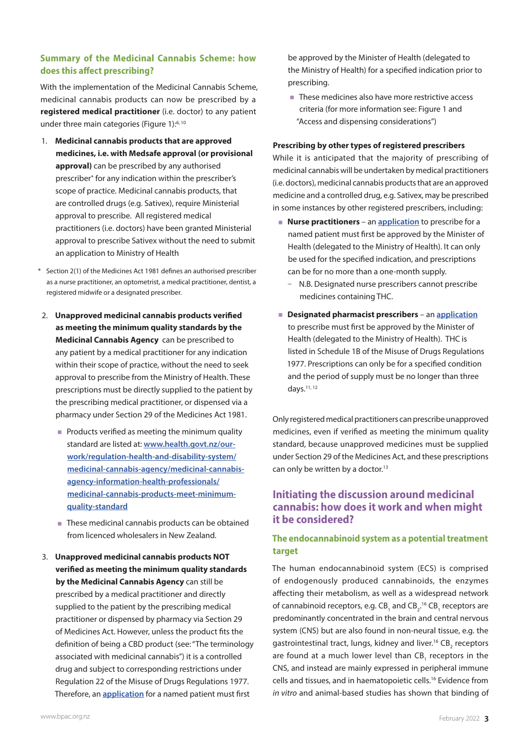## **Summary of the Medicinal Cannabis Scheme: how does this affect prescribing?**

With the implementation of the Medicinal Cannabis Scheme, medicinal cannabis products can now be prescribed by a **registered medical practitioner** (i.e. doctor) to any patient under three main categories (Figure 1):<sup>6, 10</sup>

- 1. **Medicinal cannabis products that are approved medicines, i.e. with Medsafe approval (or provisional approval)** can be prescribed by any authorised prescriber\* for any indication within the prescriber's scope of practice. Medicinal cannabis products, that are controlled drugs (e.g. Sativex), require Ministerial approval to prescribe. All registered medical practitioners (i.e. doctors) have been granted Ministerial approval to prescribe Sativex without the need to submit an application to Ministry of Health
- \* Section 2(1) of the Medicines Act 1981 defines an authorised prescriber as a nurse practitioner, an optometrist, a medical practitioner, dentist, a registered midwife or a designated prescriber.
- 2. **Unapproved medicinal cannabis products verified as meeting the minimum quality standards by the Medicinal Cannabis Agency** can be prescribed to any patient by a medical practitioner for any indication within their scope of practice, without the need to seek approval to prescribe from the Ministry of Health. These prescriptions must be directly supplied to the patient by the prescribing medical practitioner, or dispensed via a pharmacy under Section 29 of the Medicines Act 1981.
	- **Products verified as meeting the minimum quality** standard are listed at: **[www.health.govt.nz/our](https://www.health.govt.nz/our-work/regulation-health-and-disability-system/medicinal-cannabis-agency/medicinal-cannabis-agency-information-health-professionals/medicinal-cannabis-products-meet-minimum-quality-standard)[work/regulation-health-and-disability-system/](https://www.health.govt.nz/our-work/regulation-health-and-disability-system/medicinal-cannabis-agency/medicinal-cannabis-agency-information-health-professionals/medicinal-cannabis-products-meet-minimum-quality-standard) [medicinal-cannabis-agency/medicinal-cannabis](https://www.health.govt.nz/our-work/regulation-health-and-disability-system/medicinal-cannabis-agency/medicinal-cannabis-agency-information-health-professionals/medicinal-cannabis-products-meet-minimum-quality-standard)[agency-information-health-professionals/](https://www.health.govt.nz/our-work/regulation-health-and-disability-system/medicinal-cannabis-agency/medicinal-cannabis-agency-information-health-professionals/medicinal-cannabis-products-meet-minimum-quality-standard) [medicinal-cannabis-products-meet-minimum](https://www.health.govt.nz/our-work/regulation-health-and-disability-system/medicinal-cannabis-agency/medicinal-cannabis-agency-information-health-professionals/medicinal-cannabis-products-meet-minimum-quality-standard)[quality-standard](https://www.health.govt.nz/our-work/regulation-health-and-disability-system/medicinal-cannabis-agency/medicinal-cannabis-agency-information-health-professionals/medicinal-cannabis-products-meet-minimum-quality-standard)**
	- These medicinal cannabis products can be obtained from licenced wholesalers in New Zealand.
- 3. **Unapproved medicinal cannabis products NOT verified as meeting the minimum quality standards by the Medicinal Cannabis Agency** can still be prescribed by a medical practitioner and directly supplied to the patient by the prescribing medical practitioner or dispensed by pharmacy via Section 29 of Medicines Act. However, unless the product fits the definition of being a CBD product (see: "The terminology associated with medicinal cannabis") it is a controlled drug and subject to corresponding restrictions under Regulation 22 of the Misuse of Drugs Regulations 1977. Therefore, an **[application](https://www.legislation.govt.nz/act/public/1981/0118/latest/DLM55428.html)** for a named patient must first

be approved by the Minister of Health (delegated to the Ministry of Health) for a specified indication prior to prescribing.

■ These medicines also have more restrictive access criteria (for more information see: Figure 1 and "Access and dispensing considerations")

#### **Prescribing by other types of registered prescribers**

While it is anticipated that the majority of prescribing of medicinal cannabis will be undertaken by medical practitioners (i.e. doctors), medicinal cannabis products that are an approved medicine and a controlled drug, e.g. Sativex, may be prescribed in some instances by other registered prescribers, including:

- **Nurse practitioners** an **[application](https://www.health.govt.nz/system/files/documents/pages/cannabis-based-product-application-form-nonpharm-grade-110121.doc.doc)** to prescribe for a named patient must first be approved by the Minister of Health (delegated to the Ministry of Health). It can only be used for the specified indication, and prescriptions can be for no more than a one-month supply.
	- N.B. Designated nurse prescribers cannot prescribe medicines containing THC.
- **Designated pharmacist prescribers** an **[application](https://www.health.govt.nz/system/files/documents/pages/cannabis-based-product-application-form-nonpharm-grade-110121.doc.doc)** to prescribe must first be approved by the Minister of Health (delegated to the Ministry of Health). THC is listed in Schedule 1B of the Misuse of Drugs Regulations 1977. Prescriptions can only be for a specified condition and the period of supply must be no longer than three days.11, 12

Only registered medical practitioners can prescribe unapproved medicines, even if verified as meeting the minimum quality standard, because unapproved medicines must be supplied under Section 29 of the Medicines Act, and these prescriptions can only be written by a doctor.<sup>13</sup>

# **Initiating the discussion around medicinal cannabis: how does it work and when might it be considered?**

## **The endocannabinoid system as a potential treatment target**

The human endocannabinoid system (ECS) is comprised of endogenously produced cannabinoids, the enzymes affecting their metabolism, as well as a widespread network of cannabinoid receptors, e.g.  $CB_1$  and  $CB_2$ <sup>16</sup>  $CB_1$  receptors are predominantly concentrated in the brain and central nervous system (CNS) but are also found in non-neural tissue, e.g. the gastrointestinal tract, lungs, kidney and liver.<sup>16</sup>  $\text{CB}_2$  receptors are found at a much lower level than  $CB_1$  receptors in the CNS, and instead are mainly expressed in peripheral immune cells and tissues, and in haematopoietic cells.16 Evidence from *in vitro* and animal-based studies has shown that binding of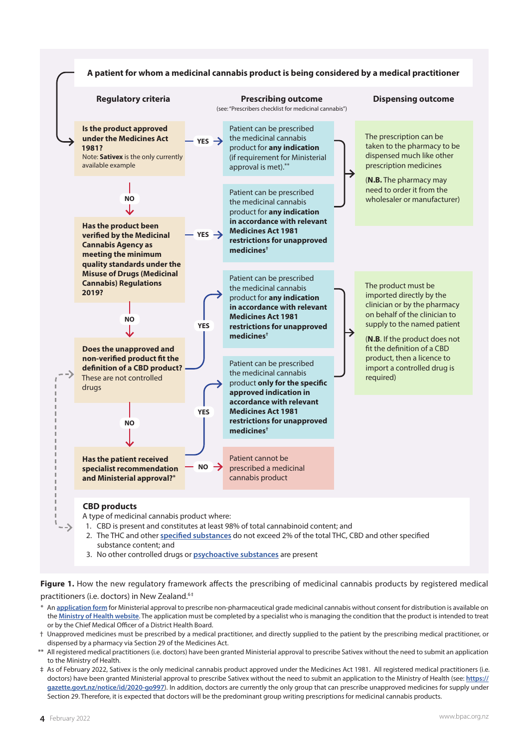

- substance content; and
- 3. No other controlled drugs or **[psychoactive substances](https://www.legislation.govt.nz/act/public/2013/0053/latest/DLM5278431.html?search=ts_act%40bill%40regulation%40deemedreg_misuse+of+drugs+act_resel_25_a&p=1#DLM5278431)** are present

**Figure 1.** How the new regulatory framework affects the prescribing of medicinal cannabis products by registered medical practitioners (i.e. doctors) in New Zealand.<sup>6‡</sup>

- An *[application form](https://www.health.govt.nz/system/files/documents/pages/cannabis-based-product-application-form-nonpharm-grade-110121.doc.doc)* for Ministerial approval to prescribe non-pharmaceutical grade medicinal cannabis without consent for distribution is available on the **[Ministry of Health website](https://www.health.govt.nz/our-work/regulation-health-and-disability-system/medicinal-cannabis-agency/medicinal-cannabis-agency-information-health-professionals)**. The application must be completed by a specialist who is managing the condition that the product is intended to treat or by the Chief Medical Officer of a District Health Board.
- † Unapproved medicines must be prescribed by a medical practitioner, and directly supplied to the patient by the prescribing medical practitioner, or dispensed by a pharmacy via Section 29 of the Medicines Act.
- \*\* All registered medical practitioners (i.e. doctors) have been granted Ministerial approval to prescribe Sativex without the need to submit an application to the Ministry of Health.
- ‡ As of February 2022, Sativex is the only medicinal cannabis product approved under the Medicines Act 1981. All registered medical practitioners (i.e. doctors) have been granted Ministerial approval to prescribe Sativex without the need to submit an application to the Ministry of Health (see: **[https://](https://gazette.govt.nz/notice/id/2020-go997) [gazette.govt.nz/notice/id/2020-go997](https://gazette.govt.nz/notice/id/2020-go997)**). In addition, doctors are currently the only group that can prescribe unapproved medicines for supply under Section 29. Therefore, it is expected that doctors will be the predominant group writing prescriptions for medicinal cannabis products.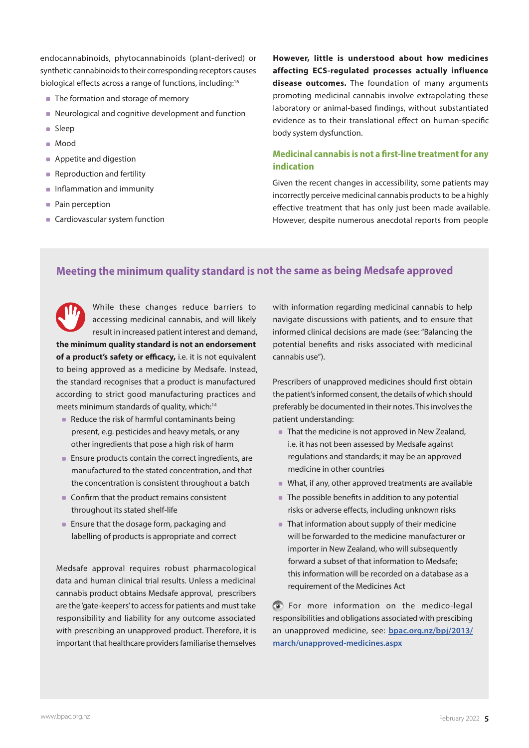endocannabinoids, phytocannabinoids (plant-derived) or synthetic cannabinoids to their corresponding receptors causes biological effects across a range of functions, including:<sup>16</sup>

- The formation and storage of memory
- Neurological and cognitive development and function
- **Sleep**
- Mood
- **Appetite and digestion**
- **Reproduction and fertility**
- **Inflammation and immunity**
- Pain perception
- **Cardiovascular system function**

**However, little is understood about how medicines affecting ECS-regulated processes actually influence disease outcomes.** The foundation of many arguments promoting medicinal cannabis involve extrapolating these laboratory or animal-based findings, without substantiated evidence as to their translational effect on human-specific body system dysfunction.

## **Medicinal cannabis is not a first-line treatment for any indication**

Given the recent changes in accessibility, some patients may incorrectly perceive medicinal cannabis products to be a highly effective treatment that has only just been made available. However, despite numerous anecdotal reports from people

# **Meeting the minimum quality standard is not the same as being Medsafe approved**

While these changes reduce barriers to accessing medicinal cannabis, and will likely result in increased patient interest and demand, **the minimum quality standard is not an endorsement of a product's safety or efficacy,** i.e. it is not equivalent to being approved as a medicine by Medsafe. Instead, the standard recognises that a product is manufactured according to strict good manufacturing practices and meets minimum standards of quality, which:<sup>14</sup>

- Reduce the risk of harmful contaminants being present, e.g. pesticides and heavy metals, or any other ingredients that pose a high risk of harm
- **Ensure products contain the correct ingredients, are** manufactured to the stated concentration, and that the concentration is consistent throughout a batch
- Confirm that the product remains consistent throughout its stated shelf-life
- **Ensure that the dosage form, packaging and** labelling of products is appropriate and correct

Medsafe approval requires robust pharmacological data and human clinical trial results. Unless a medicinal cannabis product obtains Medsafe approval, prescribers are the 'gate-keepers' to access for patients and must take responsibility and liability for any outcome associated with prescribing an unapproved product. Therefore, it is important that healthcare providers familiarise themselves with information regarding medicinal cannabis to help navigate discussions with patients, and to ensure that informed clinical decisions are made (see: "Balancing the potential benefits and risks associated with medicinal cannabis use").

Prescribers of unapproved medicines should first obtain the patient's informed consent, the details of which should preferably be documented in their notes. This involves the patient understanding:

- That the medicine is not approved in New Zealand, i.e. it has not been assessed by Medsafe against regulations and standards; it may be an approved medicine in other countries
- What, if any, other approved treatments are available
- The possible benefits in addition to any potential risks or adverse effects, including unknown risks
- That information about supply of their medicine will be forwarded to the medicine manufacturer or importer in New Zealand, who will subsequently forward a subset of that information to Medsafe; this information will be recorded on a database as a requirement of the Medicines Act

For more information on the medico-legal responsibilities and obligations associated with prescibing an unapproved medicine, see: **[bpac.org.nz/bpj/2013/](https://bpac.org.nz/bpj/2013/march/unapproved-medicines.aspx) [march/unapproved-medicines.aspx](https://bpac.org.nz/bpj/2013/march/unapproved-medicines.aspx)**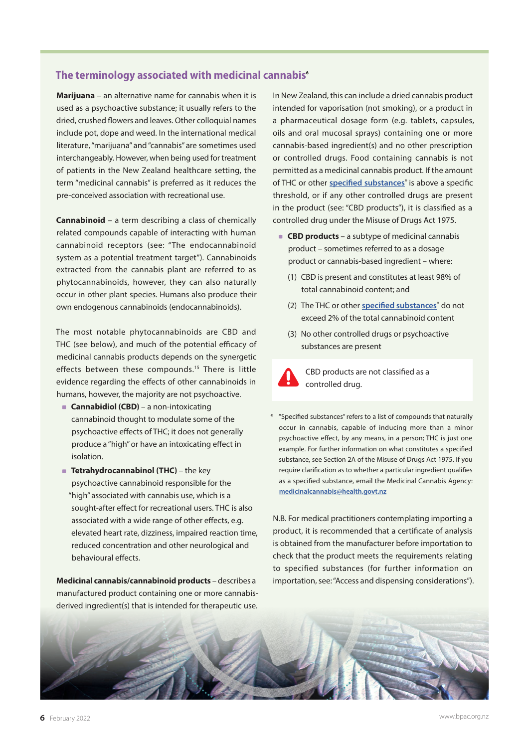## **The terminology associated with medicinal cannabis6**

**Marijuana** – an alternative name for cannabis when it is used as a psychoactive substance; it usually refers to the dried, crushed flowers and leaves. Other colloquial names include pot, dope and weed. In the international medical literature, "marijuana" and "cannabis" are sometimes used interchangeably. However, when being used for treatment of patients in the New Zealand healthcare setting, the term "medicinal cannabis" is preferred as it reduces the pre-conceived association with recreational use.

**Cannabinoid** – a term describing a class of chemically related compounds capable of interacting with human cannabinoid receptors (see: "The endocannabinoid system as a potential treatment target"). Cannabinoids extracted from the cannabis plant are referred to as phytocannabinoids, however, they can also naturally occur in other plant species. Humans also produce their own endogenous cannabinoids (endocannabinoids).

The most notable phytocannabinoids are CBD and THC (see below), and much of the potential efficacy of medicinal cannabis products depends on the synergetic effects between these compounds.<sup>15</sup> There is little evidence regarding the effects of other cannabinoids in humans, however, the majority are not psychoactive.

- **Cannabidiol (CBD)** a non-intoxicating cannabinoid thought to modulate some of the psychoactive effects of THC; it does not generally produce a "high" or have an intoxicating effect in isolation.
- **Tetrahydrocannabinol (THC)** the key psychoactive cannabinoid responsible for the "high" associated with cannabis use, which is a sought-after effect for recreational users. THC is also associated with a wide range of other effects, e.g. elevated heart rate, dizziness, impaired reaction time, reduced concentration and other neurological and behavioural effects.

**Medicinal cannabis/cannabinoid products** – describes a manufactured product containing one or more cannabisderived ingredient(s) that is intended for therapeutic use.

In New Zealand, this can include a dried cannabis product intended for vaporisation (not smoking), or a product in a pharmaceutical dosage form (e.g. tablets, capsules, oils and oral mucosal sprays) containing one or more cannabis-based ingredient(s) and no other prescription or controlled drugs. Food containing cannabis is not permitted as a medicinal cannabis product. If the amount of THC or other **[specified substances](https://www.legislation.govt.nz/act/public/1975/0116/latest/LMS148483.html?search=ts_act%40bill%40regulation%40deemedreg_misuse+of+drugs+act_resel_25_a&p=1)**\* is above a specific threshold, or if any other controlled drugs are present in the product (see: "CBD products"), it is classified as a controlled drug under the Misuse of Drugs Act 1975.

- **CBD products** a subtype of medicinal cannabis product – sometimes referred to as a dosage product or cannabis-based ingredient – where:
	- (1) CBD is present and constitutes at least 98% of total cannabinoid content; and
	- (2) The THC or other **[specified substances](https://www.legislation.govt.nz/act/public/1975/0116/latest/LMS148483.html?search=ts_act%40bill%40regulation%40deemedreg_misuse+of+drugs+act_resel_25_a&p=1)**\* do not exceed 2% of the total cannabinoid content
	- (3) No other controlled drugs or psychoactive substances are present



CBD products are not classified as a controlled drug.

\* "Specified substances" refers to a list of compounds that naturally occur in cannabis, capable of inducing more than a minor psychoactive effect, by any means, in a person; THC is just one example. For further information on what constitutes a specified substance, see Section 2A of the Misuse of Drugs Act 1975. If you require clarification as to whether a particular ingredient qualifies as a specified substance, email the Medicinal Cannabis Agency: **[medicinalcannabis@health.govt.nz](mailto:medicinalcannabis%40health.govt.nz?subject=Specified%20substance%20clarification)**

N.B. For medical practitioners contemplating importing a product, it is recommended that a certificate of analysis is obtained from the manufacturer before importation to check that the product meets the requirements relating to specified substances (for further information on importation, see: "Access and dispensing considerations").

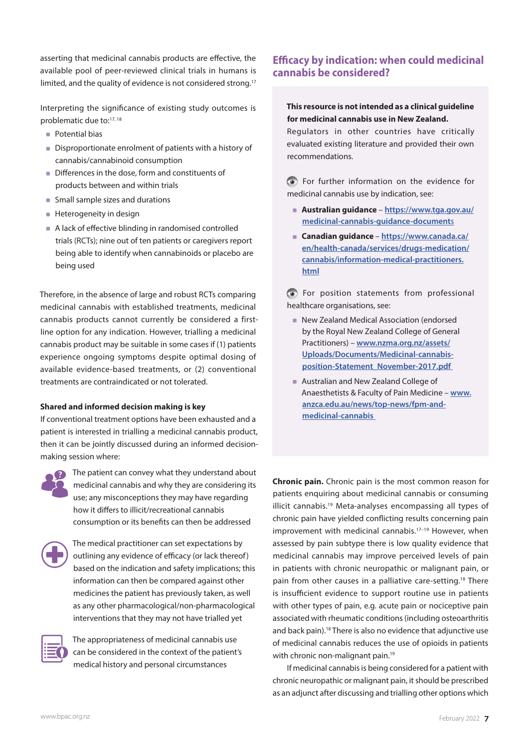asserting that medicinal cannabis products are effective, the available pool of peer-reviewed clinical trials in humans is limited, and the quality of evidence is not considered strong.<sup>17</sup>

Interpreting the significance of existing study outcomes is problematic due to:17, 18

- **Potential bias**
- Disproportionate enrolment of patients with a history of cannabis/cannabinoid consumption
- Differences in the dose, form and constituents of products between and within trials
- **Small sample sizes and durations**
- **Heterogeneity in design**
- A lack of effective blinding in randomised controlled trials (RCTs); nine out of ten patients or caregivers report being able to identify when cannabinoids or placebo are being used

Therefore, in the absence of large and robust RCTs comparing medicinal cannabis with established treatments, medicinal cannabis products cannot currently be considered a firstline option for any indication. However, trialling a medicinal cannabis product may be suitable in some cases if (1) patients experience ongoing symptoms despite optimal dosing of available evidence-based treatments, or (2) conventional treatments are contraindicated or not tolerated.

#### **Shared and informed decision making is key**

If conventional treatment options have been exhausted and a patient is interested in trialling a medicinal cannabis product, then it can be jointly discussed during an informed decisionmaking session where:



The patient can convey what they understand about medicinal cannabis and why they are considering its use; any misconceptions they may have regarding how it differs to illicit/recreational cannabis consumption or its benefits can then be addressed



The medical practitioner can set expectations by outlining any evidence of efficacy (or lack thereof) based on the indication and safety implications; this information can then be compared against other medicines the patient has previously taken, as well as any other pharmacological/non-pharmacological interventions that they may not have trialled yet



The appropriateness of medicinal cannabis use can be considered in the context of the patient's medical history and personal circumstances

# **Efficacy by indication: when could medicinal cannabis be considered?**

### **This resource is not intended as a clinical guideline for medicinal cannabis use in New Zealand.**

Regulators in other countries have critically evaluated existing literature and provided their own recommendations.

For further information on the evidence for medicinal cannabis use by indication, see:

- **Australian guidance [https://www.tga.gov.au/](https://www.tga.gov.au/medicinal-cannabis-guidance-documents) [medicinal-cannabis-guidance-document](https://www.tga.gov.au/medicinal-cannabis-guidance-documents)**s
- **Canadian guidance [https://www.canada.ca/](https://www.canada.ca/en/health-canada/services/drugs-medication/cannabis/information-medical-practitioners.html) [en/health-canada/services/drugs-medication/](https://www.canada.ca/en/health-canada/services/drugs-medication/cannabis/information-medical-practitioners.html) [cannabis/information-medical-practitioners.](https://www.canada.ca/en/health-canada/services/drugs-medication/cannabis/information-medical-practitioners.html) [html](https://www.canada.ca/en/health-canada/services/drugs-medication/cannabis/information-medical-practitioners.html)**

For position statements from professional healthcare organisations, see:

- New Zealand Medical Association (endorsed by the Royal New Zealand College of General Practitioners) – **[www.nzma.org.nz/assets/](https://www.nzma.org.nz/assets/Uploads/Documents/Medicinal-cannabis-position-Statement_November-2017.pdf) [Uploads/Documents/Medicinal-cannabis](https://www.nzma.org.nz/assets/Uploads/Documents/Medicinal-cannabis-position-Statement_November-2017.pdf)[position-Statement\\_November-2017.pdf](https://www.nzma.org.nz/assets/Uploads/Documents/Medicinal-cannabis-position-Statement_November-2017.pdf)**
- **Australian and New Zealand College of** Anaesthetists & Faculty of Pain Medicine – **[www.](https://www.anzca.edu.au/news/top-news/fpm-and-medicinal-cannabis) [anzca.edu.au/news/top-news/fpm-and](https://www.anzca.edu.au/news/top-news/fpm-and-medicinal-cannabis)[medicinal-cannabis](https://www.anzca.edu.au/news/top-news/fpm-and-medicinal-cannabis)**

**Chronic pain.** Chronic pain is the most common reason for patients enquiring about medicinal cannabis or consuming illicit cannabis.19 Meta-analyses encompassing all types of chronic pain have yielded conflicting results concerning pain improvement with medicinal cannabis.17–19 However, when assessed by pain subtype there is low quality evidence that medicinal cannabis may improve perceived levels of pain in patients with chronic neuropathic or malignant pain, or pain from other causes in a palliative care-setting.18 There is insufficient evidence to support routine use in patients with other types of pain, e.g. acute pain or nociceptive pain associated with rheumatic conditions (including osteoarthritis and back pain).18 There is also no evidence that adjunctive use of medicinal cannabis reduces the use of opioids in patients with chronic non-malignant pain.<sup>19</sup>

If medicinal cannabis is being considered for a patient with chronic neuropathic or malignant pain, it should be prescribed as an adjunct after discussing and trialling other options which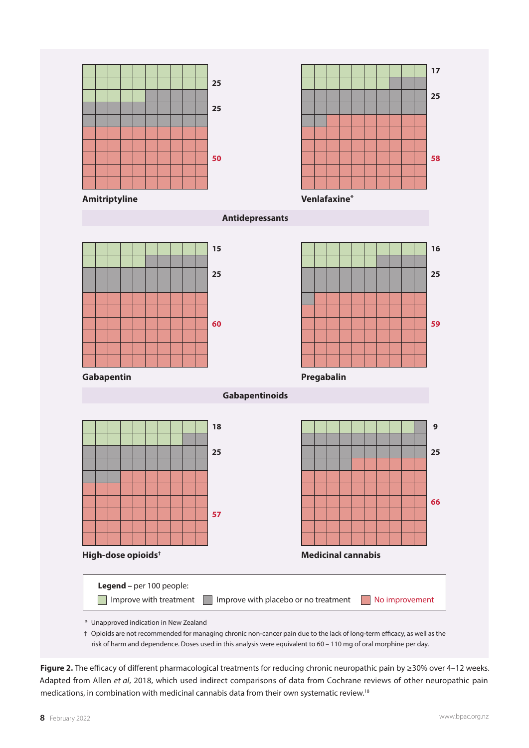

**Figure 2.** The efficacy of different pharmacological treatments for reducing chronic neuropathic pain by ≥30% over 4–12 weeks. Adapted from Allen *et al*, 2018, which used indirect comparisons of data from Cochrane reviews of other neuropathic pain medications, in combination with medicinal cannabis data from their own systematic review.18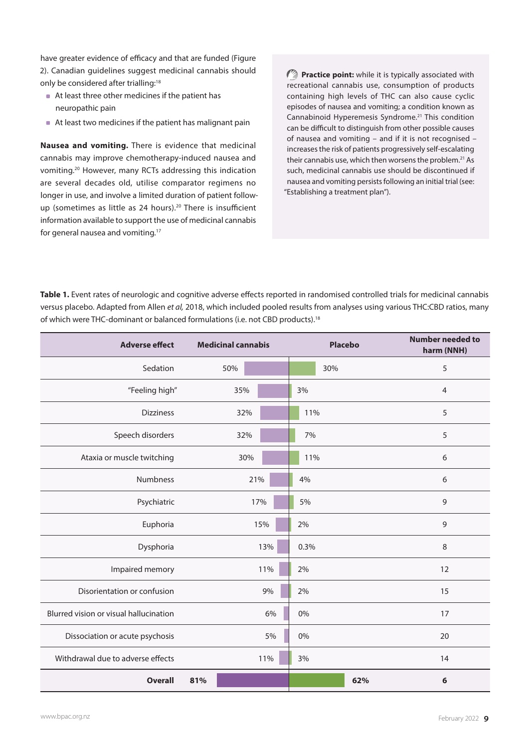have greater evidence of efficacy and that are funded (Figure 2). Canadian guidelines suggest medicinal cannabis should only be considered after trialling:<sup>18</sup>

- At least three other medicines if the patient has neuropathic pain
- At least two medicines if the patient has malignant pain

**Nausea and vomiting.** There is evidence that medicinal cannabis may improve chemotherapy-induced nausea and vomiting.20 However, many RCTs addressing this indication are several decades old, utilise comparator regimens no longer in use, and involve a limited duration of patient followup (sometimes as little as 24 hours).<sup>20</sup> There is insufficient information available to support the use of medicinal cannabis for general nausea and vomiting.17

**Practice point:** while it is typically associated with recreational cannabis use, consumption of products containing high levels of THC can also cause cyclic episodes of nausea and vomiting; a condition known as Cannabinoid Hyperemesis Syndrome.21 This condition can be difficult to distinguish from other possible causes of nausea and vomiting – and if it is not recognised – increases the risk of patients progressively self-escalating their cannabis use, which then worsens the problem.<sup>21</sup> As such, medicinal cannabis use should be discontinued if nausea and vomiting persists following an initial trial (see: "Establishing a treatment plan").

**Table 1.** Event rates of neurologic and cognitive adverse effects reported in randomised controlled trials for medicinal cannabis versus placebo. Adapted from Allen *et al,* 2018, which included pooled results from analyses using various THC:CBD ratios, many of which were THC-dominant or balanced formulations (i.e. not CBD products).18

| <b>Adverse effect</b>                  | <b>Medicinal cannabis</b> |     |  |      | <b>Placebo</b> | <b>Number needed to</b><br>harm (NNH) |
|----------------------------------------|---------------------------|-----|--|------|----------------|---------------------------------------|
| Sedation                               |                           | 50% |  |      | 30%            | 5                                     |
| "Feeling high"                         |                           | 35% |  | 3%   |                | $\overline{4}$                        |
| <b>Dizziness</b>                       |                           | 32% |  | 11%  |                | 5                                     |
| Speech disorders                       |                           | 32% |  | 7%   |                | 5                                     |
| Ataxia or muscle twitching             |                           | 30% |  | 11%  |                | 6                                     |
| Numbness                               |                           | 21% |  | 4%   |                | 6                                     |
| Psychiatric                            |                           | 17% |  | 5%   |                | 9                                     |
| Euphoria                               |                           | 15% |  | 2%   |                | 9                                     |
| Dysphoria                              |                           | 13% |  | 0.3% |                | 8                                     |
| Impaired memory                        |                           | 11% |  | 2%   |                | 12                                    |
| Disorientation or confusion            |                           | 9%  |  | 2%   |                | 15                                    |
| Blurred vision or visual hallucination |                           | 6%  |  | 0%   |                | 17                                    |
| Dissociation or acute psychosis        |                           | 5%  |  | 0%   |                | 20                                    |
| Withdrawal due to adverse effects      |                           | 11% |  | 3%   |                | 14                                    |
| <b>Overall</b>                         | 81%                       |     |  |      | 62%            | 6                                     |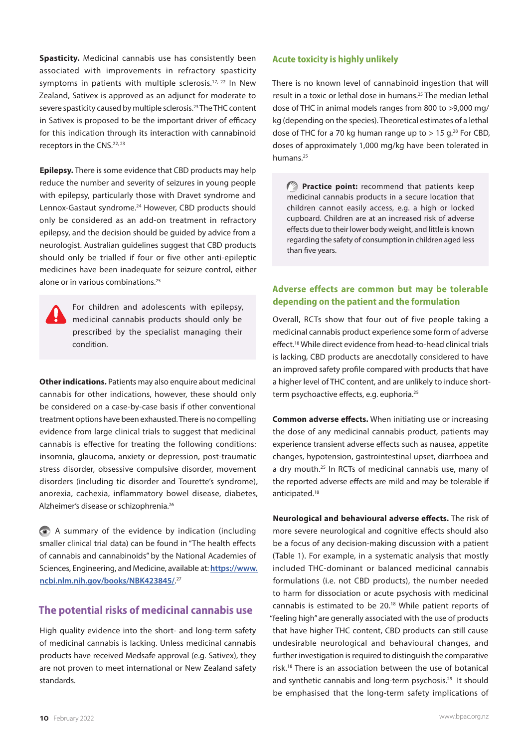**Spasticity.** Medicinal cannabis use has consistently been associated with improvements in refractory spasticity symptoms in patients with multiple sclerosis.<sup>17, 22</sup> In New Zealand, Sativex is approved as an adjunct for moderate to severe spasticity caused by multiple sclerosis.23 The THC content in Sativex is proposed to be the important driver of efficacy for this indication through its interaction with cannabinoid receptors in the CNS.<sup>22, 23</sup>

**Epilepsy.** There is some evidence that CBD products may help reduce the number and severity of seizures in young people with epilepsy, particularly those with Dravet syndrome and Lennox-Gastaut syndrome.24 However, CBD products should only be considered as an add-on treatment in refractory epilepsy, and the decision should be guided by advice from a neurologist. Australian guidelines suggest that CBD products should only be trialled if four or five other anti-epileptic medicines have been inadequate for seizure control, either alone or in various combinations.25

For children and adolescents with epilepsy, medicinal cannabis products should only be prescribed by the specialist managing their condition.

**Other indications.** Patients may also enquire about medicinal cannabis for other indications, however, these should only be considered on a case-by-case basis if other conventional treatment options have been exhausted. There is no compelling evidence from large clinical trials to suggest that medicinal cannabis is effective for treating the following conditions: insomnia, glaucoma, anxiety or depression, post-traumatic stress disorder, obsessive compulsive disorder, movement disorders (including tic disorder and Tourette's syndrome), anorexia, cachexia, inflammatory bowel disease, diabetes, Alzheimer's disease or schizophrenia.26

A summary of the evidence by indication (including smaller clinical trial data) can be found in "The health effects of cannabis and cannabinoids" by the National Academies of Sciences, Engineering, and Medicine, available at: **[https://www.](https://www.ncbi.nlm.nih.gov/books/NBK423845/) [ncbi.nlm.nih.gov/books/NBK423845/](https://www.ncbi.nlm.nih.gov/books/NBK423845/)**. 27

## **The potential risks of medicinal cannabis use**

High quality evidence into the short- and long-term safety of medicinal cannabis is lacking. Unless medicinal cannabis products have received Medsafe approval (e.g. Sativex), they are not proven to meet international or New Zealand safety standards.

#### **Acute toxicity is highly unlikely**

There is no known level of cannabinoid ingestion that will result in a toxic or lethal dose in humans.25 The median lethal dose of THC in animal models ranges from 800 to >9,000 mg/ kg (depending on the species). Theoretical estimates of a lethal dose of THC for a 70 kg human range up to  $> 15$  g.<sup>28</sup> For CBD, doses of approximately 1,000 mg/kg have been tolerated in humans.25

**Practice point:** recommend that patients keep medicinal cannabis products in a secure location that children cannot easily access, e.g. a high or locked cupboard. Children are at an increased risk of adverse effects due to their lower body weight, and little is known regarding the safety of consumption in children aged less than five years.

## **Adverse effects are common but may be tolerable depending on the patient and the formulation**

Overall, RCTs show that four out of five people taking a medicinal cannabis product experience some form of adverse effect.18 While direct evidence from head-to-head clinical trials is lacking, CBD products are anecdotally considered to have an improved safety profile compared with products that have a higher level of THC content, and are unlikely to induce shortterm psychoactive effects, e.g. euphoria.<sup>25</sup>

**Common adverse effects.** When initiating use or increasing the dose of any medicinal cannabis product, patients may experience transient adverse effects such as nausea, appetite changes, hypotension, gastrointestinal upset, diarrhoea and a dry mouth.<sup>25</sup> In RCTs of medicinal cannabis use, many of the reported adverse effects are mild and may be tolerable if anticipated.18

**Neurological and behavioural adverse effects.** The risk of more severe neurological and cognitive effects should also be a focus of any decision-making discussion with a patient (Table 1). For example, in a systematic analysis that mostly included THC-dominant or balanced medicinal cannabis formulations (i.e. not CBD products), the number needed to harm for dissociation or acute psychosis with medicinal cannabis is estimated to be 20.18 While patient reports of "feeling high" are generally associated with the use of products that have higher THC content, CBD products can still cause undesirable neurological and behavioural changes, and further investigation is required to distinguish the comparative risk.18 There is an association between the use of botanical and synthetic cannabis and long-term psychosis.<sup>29</sup> It should be emphasised that the long-term safety implications of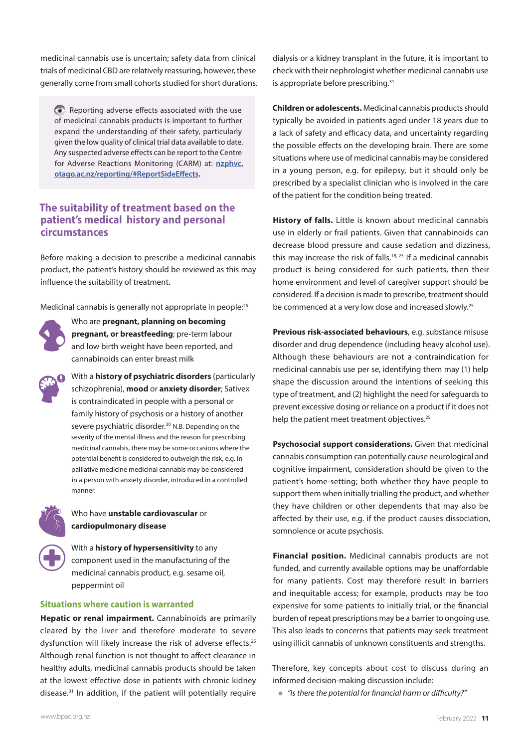medicinal cannabis use is uncertain; safety data from clinical trials of medicinal CBD are relatively reassuring, however, these generally come from small cohorts studied for short durations.

Reporting adverse effects associated with the use of medicinal cannabis products is important to further expand the understanding of their safety, particularly given the low quality of clinical trial data available to date. Any suspected adverse effects can be report to the Centre for Adverse Reactions Monitoring (CARM) at: **[nzphvc.](https://nzphvc.otago.ac.nz/reporting/#ReportSideEffects) [otago.ac.nz/reporting/#ReportSideEffects](https://nzphvc.otago.ac.nz/reporting/#ReportSideEffects).**

# **The suitability of treatment based on the patient's medical history and personal circumstances**

Before making a decision to prescribe a medicinal cannabis product, the patient's history should be reviewed as this may influence the suitability of treatment.

Medicinal cannabis is generally not appropriate in people:<sup>25</sup>



Who are **pregnant, planning on becoming pregnant, or breastfeeding**; pre-term labour and low birth weight have been reported, and cannabinoids can enter breast milk



With a **history of psychiatric disorders** (particularly schizophrenia), **mood** or **anxiety disorder**; Sativex is contraindicated in people with a personal or family history of psychosis or a history of another severe psychiatric disorder.<sup>30</sup> N.B. Depending on the severity of the mental illness and the reason for prescribing medicinal cannabis, there may be some occasions where the potential benefit is considered to outweigh the risk, e.g. in palliative medicine medicinal cannabis may be considered in a person with anxiety disorder, introduced in a controlled manner.



### Who have **unstable cardiovascular** or **cardiopulmonary disease**

With a **history of hypersensitivity** to any component used in the manufacturing of the medicinal cannabis product, e.g. sesame oil, peppermint oil

#### **Situations where caution is warranted**

**Hepatic or renal impairment.** Cannabinoids are primarily cleared by the liver and therefore moderate to severe dysfunction will likely increase the risk of adverse effects.<sup>25</sup> Although renal function is not thought to affect clearance in healthy adults, medicinal cannabis products should be taken at the lowest effective dose in patients with chronic kidney disease.31 In addition, if the patient will potentially require

dialysis or a kidney transplant in the future, it is important to check with their nephrologist whether medicinal cannabis use is appropriate before prescribing.<sup>31</sup>

**Children or adolescents.** Medicinal cannabis products should typically be avoided in patients aged under 18 years due to a lack of safety and efficacy data, and uncertainty regarding the possible effects on the developing brain. There are some situations where use of medicinal cannabis may be considered in a young person, e.g. for epilepsy, but it should only be prescribed by a specialist clinician who is involved in the care of the patient for the condition being treated.

**History of falls.** Little is known about medicinal cannabis use in elderly or frail patients. Given that cannabinoids can decrease blood pressure and cause sedation and dizziness, this may increase the risk of falls.<sup>18, 25</sup> If a medicinal cannabis product is being considered for such patients, then their home environment and level of caregiver support should be considered. If a decision is made to prescribe, treatment should be commenced at a very low dose and increased slowly.25

**Previous risk-associated behaviours**, e.g. substance misuse disorder and drug dependence (including heavy alcohol use). Although these behaviours are not a contraindication for medicinal cannabis use per se, identifying them may (1) help shape the discussion around the intentions of seeking this type of treatment, and (2) highlight the need for safeguards to prevent excessive dosing or reliance on a product if it does not help the patient meet treatment objectives.<sup>25</sup>

**Psychosocial support considerations.** Given that medicinal cannabis consumption can potentially cause neurological and cognitive impairment, consideration should be given to the patient's home-setting; both whether they have people to support them when initially trialling the product, and whether they have children or other dependents that may also be affected by their use, e.g. if the product causes dissociation, somnolence or acute psychosis.

**Financial position.** Medicinal cannabis products are not funded, and currently available options may be unaffordable for many patients. Cost may therefore result in barriers and inequitable access; for example, products may be too expensive for some patients to initially trial, or the financial burden of repeat prescriptions may be a barrier to ongoing use. This also leads to concerns that patients may seek treatment using illicit cannabis of unknown constituents and strengths.

Therefore, key concepts about cost to discuss during an informed decision-making discussion include:

*"Is there the potential for financial harm or difficulty?"*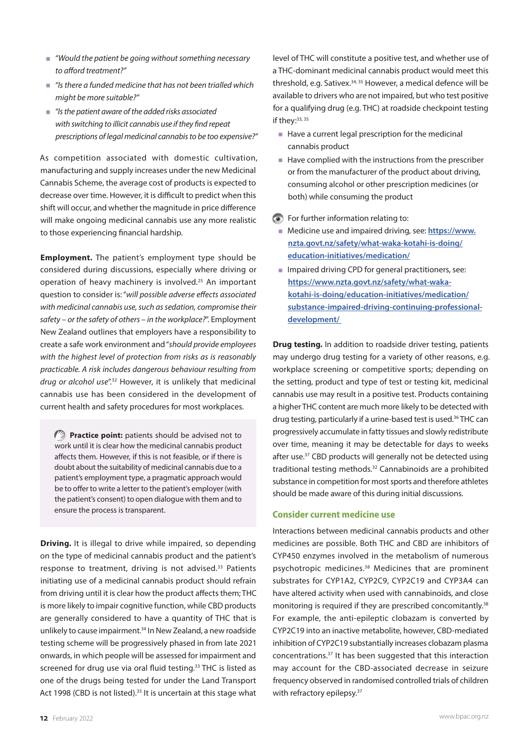- *"Would the patient be going without something necessary to afford treatment?"*
- *"Is there a funded medicine that has not been trialled which might be more suitable?"*
- *"Is the patient aware of the added risks associated with switching to illicit cannabis use if they find repeat prescriptions of legal medicinal cannabis to be too expensive?"*

As competition associated with domestic cultivation, manufacturing and supply increases under the new Medicinal Cannabis Scheme, the average cost of products is expected to decrease over time. However, it is difficult to predict when this shift will occur, and whether the magnitude in price difference will make ongoing medicinal cannabis use any more realistic to those experiencing financial hardship.

**Employment.** The patient's employment type should be considered during discussions, especially where driving or operation of heavy machinery is involved.25 An important question to consider is: "*will possible adverse effects associated with medicinal cannabis use, such as sedation, compromise their safety – or the safety of others – in the workplace?*". Employment New Zealand outlines that employers have a responsibility to create a safe work environment and "*should provide employees with the highest level of protection from risks as is reasonably practicable. A risk includes dangerous behaviour resulting from drug or alcohol use*".32 However, it is unlikely that medicinal cannabis use has been considered in the development of current health and safety procedures for most workplaces.

**Paractice point:** patients should be advised not to work until it is clear how the medicinal cannabis product affects them. However, if this is not feasible, or if there is doubt about the suitability of medicinal cannabis due to a patient's employment type, a pragmatic approach would be to offer to write a letter to the patient's employer (with the patient's consent) to open dialogue with them and to ensure the process is transparent.

**Driving.** It is illegal to drive while impaired, so depending on the type of medicinal cannabis product and the patient's response to treatment, driving is not advised.<sup>33</sup> Patients initiating use of a medicinal cannabis product should refrain from driving until it is clear how the product affects them; THC is more likely to impair cognitive function, while CBD products are generally considered to have a quantity of THC that is unlikely to cause impairment.<sup>34</sup> In New Zealand, a new roadside testing scheme will be progressively phased in from late 2021 onwards, in which people will be assessed for impairment and screened for drug use via oral fluid testing.<sup>33</sup> THC is listed as one of the drugs being tested for under the Land Transport Act 1998 (CBD is not listed).<sup>33</sup> It is uncertain at this stage what

level of THC will constitute a positive test, and whether use of a THC-dominant medicinal cannabis product would meet this threshold, e.g. Sativex.<sup>34, 35</sup> However, a medical defence will be available to drivers who are not impaired, but who test positive for a qualifying drug (e.g. THC) at roadside checkpoint testing if thev: 33, 35

- Have a current legal prescription for the medicinal cannabis product
- Have complied with the instructions from the prescriber or from the manufacturer of the product about driving, consuming alcohol or other prescription medicines (or both) while consuming the product
- **•** For further information relating to:
	- Medicine use and impaired driving, see: **[https://www.](https://www.nzta.govt.nz/safety/what-waka-kotahi-is-doing/education-initiatives/medication/) [nzta.govt.nz/safety/what-waka-kotahi-is-doing/](https://www.nzta.govt.nz/safety/what-waka-kotahi-is-doing/education-initiatives/medication/) [education-initiatives/medication/](https://www.nzta.govt.nz/safety/what-waka-kotahi-is-doing/education-initiatives/medication/)**
- **Impaired driving CPD for general practitioners, see: [https://www.nzta.govt.nz/safety/what-waka](https://www.nzta.govt.nz/safety/what-waka-kotahi-is-doing/education-initiatives/medication/substance-impaired-driving-continuing-professional-development/)[kotahi-is-doing/education-initiatives/medication/](https://www.nzta.govt.nz/safety/what-waka-kotahi-is-doing/education-initiatives/medication/substance-impaired-driving-continuing-professional-development/) [substance-impaired-driving-continuing-professional](https://www.nzta.govt.nz/safety/what-waka-kotahi-is-doing/education-initiatives/medication/substance-impaired-driving-continuing-professional-development/)[development/](https://www.nzta.govt.nz/safety/what-waka-kotahi-is-doing/education-initiatives/medication/substance-impaired-driving-continuing-professional-development/)**

**Drug testing.** In addition to roadside driver testing, patients may undergo drug testing for a variety of other reasons, e.g. workplace screening or competitive sports; depending on the setting, product and type of test or testing kit, medicinal cannabis use may result in a positive test. Products containing a higher THC content are much more likely to be detected with drug testing, particularly if a urine-based test is used.<sup>36</sup> THC can progressively accumulate in fatty tissues and slowly redistribute over time, meaning it may be detectable for days to weeks after use.<sup>37</sup> CBD products will generally not be detected using traditional testing methods.32 Cannabinoids are a prohibited substance in competition for most sports and therefore athletes should be made aware of this during initial discussions.

#### **Consider current medicine use**

Interactions between medicinal cannabis products and other medicines are possible. Both THC and CBD are inhibitors of CYP450 enzymes involved in the metabolism of numerous psychotropic medicines.<sup>38</sup> Medicines that are prominent substrates for CYP1A2, CYP2C9, CYP2C19 and CYP3A4 can have altered activity when used with cannabinoids, and close monitoring is required if they are prescribed concomitantly.<sup>38</sup> For example, the anti-epileptic clobazam is converted by CYP2C19 into an inactive metabolite, however, CBD-mediated inhibition of CYP2C19 substantially increases clobazam plasma concentrations.37 It has been suggested that this interaction may account for the CBD-associated decrease in seizure frequency observed in randomised controlled trials of children with refractory epilepsy.<sup>37</sup>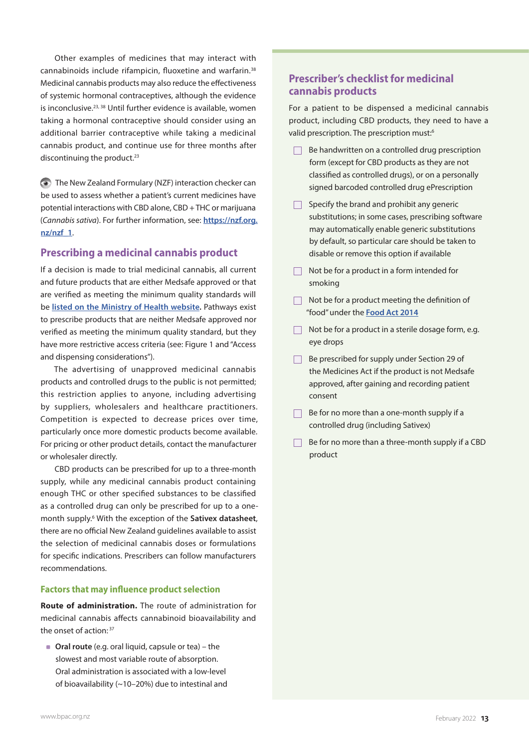Other examples of medicines that may interact with cannabinoids include rifampicin, fluoxetine and warfarin.<sup>38</sup> Medicinal cannabis products may also reduce the effectiveness of systemic hormonal contraceptives, although the evidence is inconclusive.<sup>23, 38</sup> Until further evidence is available, women taking a hormonal contraceptive should consider using an additional barrier contraceptive while taking a medicinal cannabis product, and continue use for three months after discontinuing the product. $23$ 

The New Zealand Formulary (NZF) interaction checker can be used to assess whether a patient's current medicines have potential interactions with CBD alone, CBD + THC or marijuana (*Cannabis sativa*). For further information, see: **[https://nzf.org.](https://nzf.org.nz/nzf_1) [nz/nzf\\_1](https://nzf.org.nz/nzf_1)**.

## **Prescribing a medicinal cannabis product**

If a decision is made to trial medicinal cannabis, all current and future products that are either Medsafe approved or that are verified as meeting the minimum quality standards will be **[listed on the Ministry of Health website.](https://www.health.govt.nz/our-work/regulation-health-and-disability-system/medicinal-cannabis-agency/medicinal-cannabis-agency-information-health-professionals/medicinal-cannabis-products-meet-minimum-quality-standard)** Pathways exist to prescribe products that are neither Medsafe approved nor verified as meeting the minimum quality standard, but they have more restrictive access criteria (see: Figure 1 and "Access and dispensing considerations").

The advertising of unapproved medicinal cannabis products and controlled drugs to the public is not permitted; this restriction applies to anyone, including advertising by suppliers, wholesalers and healthcare practitioners. Competition is expected to decrease prices over time, particularly once more domestic products become available. For pricing or other product details, contact the manufacturer or wholesaler directly.

CBD products can be prescribed for up to a three-month supply, while any medicinal cannabis product containing enough THC or other specified substances to be classified as a controlled drug can only be prescribed for up to a onemonth supply.6 With the exception of the **[Sativex datasheet](https://www.medsafe.govt.nz/profs/datasheet/s/sativexspray.pdf)**, there are no official New Zealand guidelines available to assist the selection of medicinal cannabis doses or formulations for specific indications. Prescribers can follow manufacturers recommendations.

#### **Factors that may influence product selection**

**Route of administration.** The route of administration for medicinal cannabis affects cannabinoid bioavailability and the onset of action: 37

**Oral route** (e.g. oral liquid, capsule or tea) – the slowest and most variable route of absorption. Oral administration is associated with a low-level of bioavailability (~10–20%) due to intestinal and

# **Prescriber's checklist for medicinal cannabis products**

For a patient to be dispensed a medicinal cannabis product, including CBD products, they need to have a valid prescription. The prescription must:<sup>6</sup>

- Be handwritten on a controlled drug prescription  $\Box$ form (except for CBD products as they are not classified as controlled drugs), or on a personally signed barcoded controlled drug ePrescription
- $\Box$  Specify the brand and prohibit any generic substitutions; in some cases, prescribing software may automatically enable generic substitutions by default, so particular care should be taken to disable or remove this option if available
- $\Box$  Not be for a product in a form intended for smoking
- $\Box$  Not be for a product meeting the definition of "food" under the **[Food Act 2014](http://www.legislation.govt.nz/act/public/2014/0032/75.0/DLM2995811.html)**
- $\Box$  Not be for a product in a sterile dosage form, e.g. eye drops
- $\Box$  Be prescribed for supply under Section 29 of the Medicines Act if the product is not Medsafe approved, after gaining and recording patient consent
- $\Box$  Be for no more than a one-month supply if a controlled drug (including Sativex)
- $\Box$  Be for no more than a three-month supply if a CBD product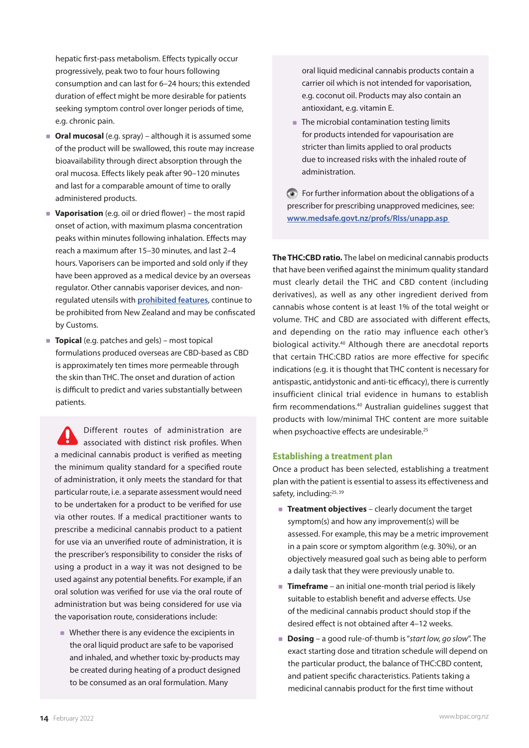hepatic first-pass metabolism. Effects typically occur progressively, peak two to four hours following consumption and can last for 6–24 hours; this extended duration of effect might be more desirable for patients seeking symptom control over longer periods of time, e.g. chronic pain.

- **Oral mucosal** (e.g. spray) although it is assumed some of the product will be swallowed, this route may increase bioavailability through direct absorption through the oral mucosa. Effects likely peak after 90–120 minutes and last for a comparable amount of time to orally administered products.
- **Vaporisation** (e.g. oil or dried flower) the most rapid onset of action, with maximum plasma concentration peaks within minutes following inhalation. Effects may reach a maximum after 15–30 minutes, and last 2–4 hours. Vaporisers can be imported and sold only if they have been approved as a medical device by an overseas regulator. Other cannabis vaporiser devices, and nonregulated utensils with **[prohibited features](https://gazette.govt.nz/notice/id/2020-go1298)**, continue to be prohibited from New Zealand and may be confiscated by Customs.
- **Topical** (e.g. patches and gels) most topical formulations produced overseas are CBD-based as CBD is approximately ten times more permeable through the skin than THC. The onset and duration of action is difficult to predict and varies substantially between patients.

Different routes of administration are associated with distinct risk profiles. When a medicinal cannabis product is verified as meeting the minimum quality standard for a specified route of administration, it only meets the standard for that particular route, i.e. a separate assessment would need to be undertaken for a product to be verified for use via other routes. If a medical practitioner wants to prescribe a medicinal cannabis product to a patient for use via an unverified route of administration, it is the prescriber's responsibility to consider the risks of using a product in a way it was not designed to be used against any potential benefits. For example, if an oral solution was verified for use via the oral route of administration but was being considered for use via the vaporisation route, considerations include:

■ Whether there is any evidence the excipients in the oral liquid product are safe to be vaporised and inhaled, and whether toxic by-products may be created during heating of a product designed to be consumed as an oral formulation. Many

oral liquid medicinal cannabis products contain a carrier oil which is not intended for vaporisation, e.g. coconut oil. Products may also contain an antioxidant, e.g. vitamin E.

• The microbial contamination testing limits for products intended for vapourisation are stricter than limits applied to oral products due to increased risks with the inhaled route of administration.

For further information about the obligations of a prescriber for prescribing unapproved medicines, see: **[www.medsafe.govt.nz/profs/RIss/unapp.asp](http://www.medsafe.govt.nz/profs/RIss/unapp.asp)**

**The THC:CBD ratio.** The label on medicinal cannabis products that have been verified against the minimum quality standard must clearly detail the THC and CBD content (including derivatives), as well as any other ingredient derived from cannabis whose content is at least 1% of the total weight or volume. THC and CBD are associated with different effects, and depending on the ratio may influence each other's biological activity.40 Although there are anecdotal reports that certain THC:CBD ratios are more effective for specific indications (e.g. it is thought that THC content is necessary for antispastic, antidystonic and anti-tic efficacy), there is currently insufficient clinical trial evidence in humans to establish firm recommendations.<sup>40</sup> Australian guidelines suggest that products with low/minimal THC content are more suitable when psychoactive effects are undesirable.<sup>25</sup>

#### **Establishing a treatment plan**

Once a product has been selected, establishing a treatment plan with the patient is essential to assess its effectiveness and safety, including:<sup>25, 39</sup>

- **Treatment objectives** clearly document the target symptom(s) and how any improvement(s) will be assessed. For example, this may be a metric improvement in a pain score or symptom algorithm (e.g. 30%), or an objectively measured goal such as being able to perform a daily task that they were previously unable to.
- **Timeframe** an initial one-month trial period is likely suitable to establish benefit and adverse effects. Use of the medicinal cannabis product should stop if the desired effect is not obtained after 4–12 weeks.
- **Dosing** a good rule-of-thumb is "*start low, go slow*". The exact starting dose and titration schedule will depend on the particular product, the balance of THC:CBD content, and patient specific characteristics. Patients taking a medicinal cannabis product for the first time without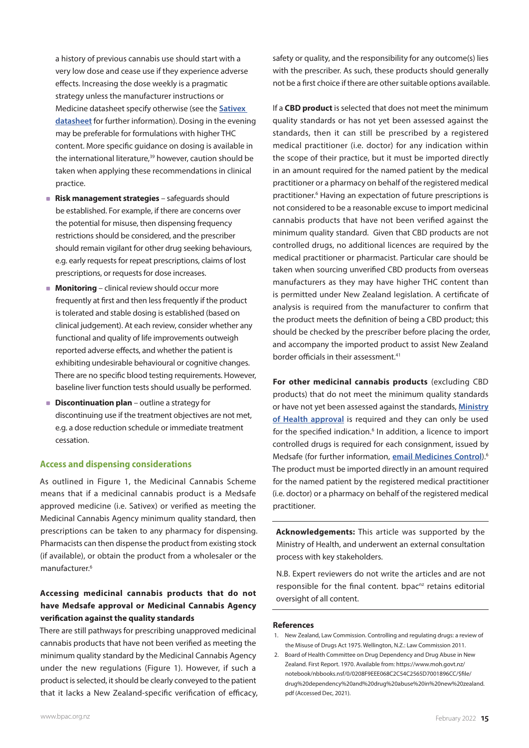a history of previous cannabis use should start with a very low dose and cease use if they experience adverse effects. Increasing the dose weekly is a pragmatic strategy unless the manufacturer instructions or Medicine datasheet specify otherwise (see the **[Sativex](https://www.medsafe.govt.nz/profs/datasheet/s/sativexspray.pdf)  [datasheet](https://www.medsafe.govt.nz/profs/datasheet/s/sativexspray.pdf)** for further information). Dosing in the evening may be preferable for formulations with higher THC content. More specific guidance on dosing is available in the international literature,<sup>39</sup> however, caution should be taken when applying these recommendations in clinical practice.

- **Risk management strategies** safeguards should be established. For example, if there are concerns over the potential for misuse, then dispensing frequency restrictions should be considered, and the prescriber should remain vigilant for other drug seeking behaviours, e.g. early requests for repeat prescriptions, claims of lost prescriptions, or requests for dose increases.
- **Monitoring** clinical review should occur more frequently at first and then less frequently if the product is tolerated and stable dosing is established (based on clinical judgement). At each review, consider whether any functional and quality of life improvements outweigh reported adverse effects, and whether the patient is exhibiting undesirable behavioural or cognitive changes. There are no specific blood testing requirements. However, baseline liver function tests should usually be performed.
- **Discontinuation plan** outline a strategy for discontinuing use if the treatment objectives are not met, e.g. a dose reduction schedule or immediate treatment cessation.

#### **Access and dispensing considerations**

As outlined in Figure 1, the Medicinal Cannabis Scheme means that if a medicinal cannabis product is a Medsafe approved medicine (i.e. Sativex) or verified as meeting the Medicinal Cannabis Agency minimum quality standard, then prescriptions can be taken to any pharmacy for dispensing. Pharmacists can then dispense the product from existing stock (if available), or obtain the product from a wholesaler or the manufacturer.6

## **Accessing medicinal cannabis products that do not have Medsafe approval or Medicinal Cannabis Agency verification against the quality standards**

There are still pathways for prescribing unapproved medicinal cannabis products that have not been verified as meeting the minimum quality standard by the Medicinal Cannabis Agency under the new regulations (Figure 1). However, if such a product is selected, it should be clearly conveyed to the patient that it lacks a New Zealand-specific verification of efficacy, safety or quality, and the responsibility for any outcome(s) lies with the prescriber. As such, these products should generally not be a first choice if there are other suitable options available.

If a **CBD product** is selected that does not meet the minimum quality standards or has not yet been assessed against the standards, then it can still be prescribed by a registered medical practitioner (i.e. doctor) for any indication within the scope of their practice, but it must be imported directly in an amount required for the named patient by the medical practitioner or a pharmacy on behalf of the registered medical practitioner.<sup>6</sup> Having an expectation of future prescriptions is not considered to be a reasonable excuse to import medicinal cannabis products that have not been verified against the minimum quality standard. Given that CBD products are not controlled drugs, no additional licences are required by the medical practitioner or pharmacist. Particular care should be taken when sourcing unverified CBD products from overseas manufacturers as they may have higher THC content than is permitted under New Zealand legislation. A certificate of analysis is required from the manufacturer to confirm that the product meets the definition of being a CBD product; this should be checked by the prescriber before placing the order, and accompany the imported product to assist New Zealand border officials in their assessment.<sup>41</sup>

**For other medicinal cannabis products** (excluding CBD products) that do not meet the minimum quality standards or have not yet been assessed against the standards, **[Ministry](https://www.health.govt.nz/system/files/documents/pages/cannabis-based-product-application-form-nonpharm-grade-110121.doc.doc)  [of Health approval](https://www.health.govt.nz/system/files/documents/pages/cannabis-based-product-application-form-nonpharm-grade-110121.doc.doc)** is required and they can only be used for the specified indication.<sup>6</sup> In addition, a licence to import controlled drugs is required for each consignment, issued by Medsafe (for further information, **[email Medicines Control](mailto:medicinescontrol%40health.govt.nz?subject=Medicinal%20Cannabis%20Products)**).6 The product must be imported directly in an amount required for the named patient by the registered medical practitioner (i.e. doctor) or a pharmacy on behalf of the registered medical practitioner.

**Acknowledgements:** This article was supported by the Ministry of Health, and underwent an external consultation process with key stakeholders.

N.B. Expert reviewers do not write the articles and are not responsible for the final content. bpac<sup>nz</sup> retains editorial oversight of all content.

#### **References**

- 1. New Zealand, Law Commission. Controlling and regulating drugs: a review of the Misuse of Drugs Act 1975. Wellington, N.Z.: Law Commission 2011.
- 2. Board of Health Committee on Drug Dependency and Drug Abuse in New Zealand. First Report. 1970. Available from: [https://www.moh.govt.nz/]( https://www.moh.govt.nz/notebook/nbbooks.nsf/0/0208F9EEE068C2C54C2565D7001896CC/$file/drug%20dependency%20and%20drug%20abuse%20in%20new%20zealand.pdf) [notebook/nbbooks.nsf/0/0208F9EEE068C2C54C2565D7001896CC/\\$file/]( https://www.moh.govt.nz/notebook/nbbooks.nsf/0/0208F9EEE068C2C54C2565D7001896CC/$file/drug%20dependency%20and%20drug%20abuse%20in%20new%20zealand.pdf) [drug%20dependency%20and%20drug%20abuse%20in%20new%20zealand.]( https://www.moh.govt.nz/notebook/nbbooks.nsf/0/0208F9EEE068C2C54C2565D7001896CC/$file/drug%20dependency%20and%20drug%20abuse%20in%20new%20zealand.pdf) [pdf]( https://www.moh.govt.nz/notebook/nbbooks.nsf/0/0208F9EEE068C2C54C2565D7001896CC/$file/drug%20dependency%20and%20drug%20abuse%20in%20new%20zealand.pdf) (Accessed Dec, 2021).